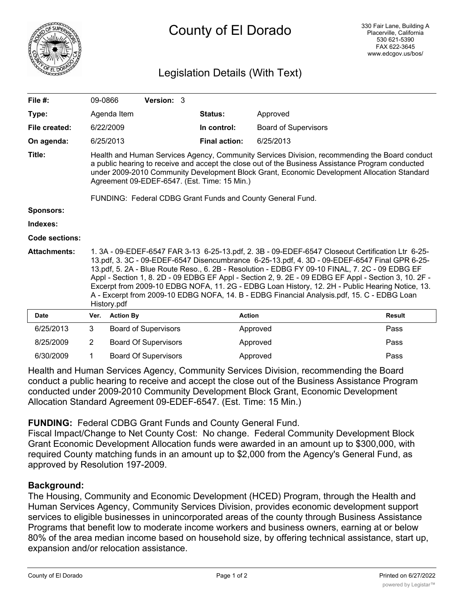

## Legislation Details (With Text)

| File #:               | 09-0866                                                                                                                                                                                                                                                                                                                                                                                                                                                                                                                                                                                                                     |                             | Version: 3                  |                |                      |                             |               |
|-----------------------|-----------------------------------------------------------------------------------------------------------------------------------------------------------------------------------------------------------------------------------------------------------------------------------------------------------------------------------------------------------------------------------------------------------------------------------------------------------------------------------------------------------------------------------------------------------------------------------------------------------------------------|-----------------------------|-----------------------------|----------------|----------------------|-----------------------------|---------------|
| Type:                 |                                                                                                                                                                                                                                                                                                                                                                                                                                                                                                                                                                                                                             | Agenda Item                 |                             | <b>Status:</b> |                      | Approved                    |               |
| File created:         |                                                                                                                                                                                                                                                                                                                                                                                                                                                                                                                                                                                                                             | 6/22/2009                   |                             |                | In control:          | <b>Board of Supervisors</b> |               |
| On agenda:            |                                                                                                                                                                                                                                                                                                                                                                                                                                                                                                                                                                                                                             | 6/25/2013                   |                             |                | <b>Final action:</b> | 6/25/2013                   |               |
| Title:                | Health and Human Services Agency, Community Services Division, recommending the Board conduct<br>a public hearing to receive and accept the close out of the Business Assistance Program conducted<br>under 2009-2010 Community Development Block Grant, Economic Development Allocation Standard<br>Agreement 09-EDEF-6547. (Est. Time: 15 Min.)                                                                                                                                                                                                                                                                           |                             |                             |                |                      |                             |               |
| <b>Sponsors:</b>      | FUNDING: Federal CDBG Grant Funds and County General Fund.                                                                                                                                                                                                                                                                                                                                                                                                                                                                                                                                                                  |                             |                             |                |                      |                             |               |
| Indexes:              |                                                                                                                                                                                                                                                                                                                                                                                                                                                                                                                                                                                                                             |                             |                             |                |                      |                             |               |
| <b>Code sections:</b> |                                                                                                                                                                                                                                                                                                                                                                                                                                                                                                                                                                                                                             |                             |                             |                |                      |                             |               |
| <b>Attachments:</b>   | 1. 3A - 09-EDEF-6547 FAR 3-13 6-25-13.pdf, 2. 3B - 09-EDEF-6547 Closeout Certification Ltr 6-25-<br>13.pdf, 3. 3C - 09-EDEF-6547 Disencumbrance 6-25-13.pdf, 4. 3D - 09-EDEF-6547 Final GPR 6-25-<br>13.pdf, 5. 2A - Blue Route Reso., 6. 2B - Resolution - EDBG FY 09-10 FINAL, 7. 2C - 09 EDBG EF<br>Appl - Section 1, 8. 2D - 09 EDBG EF Appl - Section 2, 9. 2E - 09 EDBG EF Appl - Section 3, 10. 2F -<br>Excerpt from 2009-10 EDBG NOFA, 11. 2G - EDBG Loan History, 12. 2H - Public Hearing Notice, 13.<br>A - Excerpt from 2009-10 EDBG NOFA, 14. B - EDBG Financial Analysis.pdf, 15. C - EDBG Loan<br>History.pdf |                             |                             |                |                      |                             |               |
| <b>Date</b>           | Ver.                                                                                                                                                                                                                                                                                                                                                                                                                                                                                                                                                                                                                        | <b>Action By</b>            |                             |                | <b>Action</b>        |                             | <b>Result</b> |
| 6/25/2013             | 3                                                                                                                                                                                                                                                                                                                                                                                                                                                                                                                                                                                                                           |                             | <b>Board of Supervisors</b> |                |                      | Approved                    | Pass          |
| 8/25/2009             | $\overline{2}$                                                                                                                                                                                                                                                                                                                                                                                                                                                                                                                                                                                                              | <b>Board Of Supervisors</b> |                             |                |                      | Approved                    | Pass          |
| 6/30/2009             | 1                                                                                                                                                                                                                                                                                                                                                                                                                                                                                                                                                                                                                           | <b>Board Of Supervisors</b> |                             |                | Approved             |                             | Pass          |

Health and Human Services Agency, Community Services Division, recommending the Board conduct a public hearing to receive and accept the close out of the Business Assistance Program conducted under 2009-2010 Community Development Block Grant, Economic Development Allocation Standard Agreement 09-EDEF-6547. (Est. Time: 15 Min.)

**FUNDING:** Federal CDBG Grant Funds and County General Fund.

Fiscal Impact/Change to Net County Cost: No change. Federal Community Development Block Grant Economic Development Allocation funds were awarded in an amount up to \$300,000, with required County matching funds in an amount up to \$2,000 from the Agency's General Fund, as approved by Resolution 197-2009.

## **Background:**

The Housing, Community and Economic Development (HCED) Program, through the Health and Human Services Agency, Community Services Division, provides economic development support services to eligible businesses in unincorporated areas of the county through Business Assistance Programs that benefit low to moderate income workers and business owners, earning at or below 80% of the area median income based on household size, by offering technical assistance, start up, expansion and/or relocation assistance.